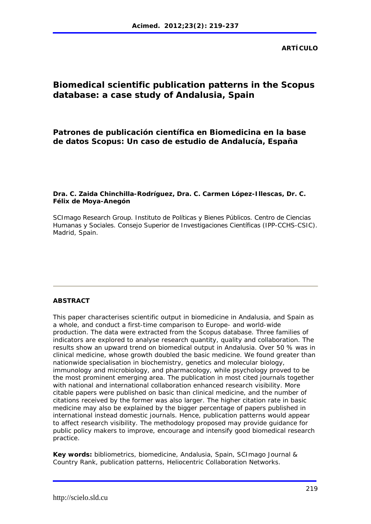# **Biomedical scientific publication patterns in the Scopus database: a case study of Andalusia, Spain**

# **Patrones de publicación científica en Biomedicina en la base de datos Scopus: Un caso de estudio de Andalucía, España**

### **Dra. C. Zaida Chinchilla-Rodríguez, Dra. C. Carmen López-Illescas, Dr. C. Félix de Moya-Anegón**

SCImago Research Group. Instituto de Políticas y Bienes Públicos. Centro de Ciencias Humanas y Sociales. Consejo Superior de Investigaciones Científicas (IPP-CCHS-CSIC). Madrid, Spain.

### **ABSTRACT**

This paper characterises scientific output in biomedicine in Andalusia, and Spain as a whole, and conduct a first-time comparison to Europe- and world-wide production. The data were extracted from the Scopus database. Three families of indicators are explored to analyse research quantity, quality and collaboration. The results show an upward trend on biomedical output in Andalusia. Over 50 % was in clinical medicine, whose growth doubled the basic medicine. We found greater than nationwide specialisation in biochemistry, genetics and molecular biology, immunology and microbiology, and pharmacology, while psychology proved to be the most prominent emerging area. The publication in most cited journals together with national and international collaboration enhanced research visibility. More citable papers were published on basic than clinical medicine, and the number of citations received by the former was also larger. The higher citation rate in basic medicine may also be explained by the bigger percentage of papers published in international instead domestic journals. Hence, publication patterns would appear to affect research visibility. The methodology proposed may provide guidance for public policy makers to improve, encourage and intensify good biomedical research practice.

**Key words:** bibliometrics, biomedicine, Andalusia, Spain, SCImago Journal *&* Country Rank, publication patterns, Heliocentric Collaboration Networks.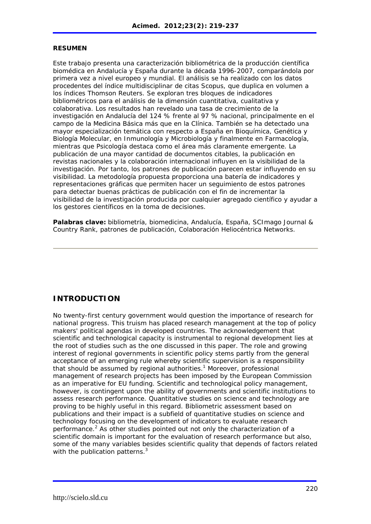### **RESUMEN**

Este trabajo presenta una caracterización bibliométrica de la producción científica biomédica en Andalucía y España durante la década 1996-2007, comparándola por primera vez a nivel europeo y mundial. El análisis se ha realizado con los datos procedentes del índice multidisciplinar de citas Scopus, que duplica en volumen a los índices Thomson Reuters. Se exploran tres bloques de indicadores bibliométricos para el análisis de la dimensión cuantitativa, cualitativa y colaborativa. Los resultados han revelado una tasa de crecimiento de la investigación en Andalucía del 124 % frente al 97 % nacional, principalmente en el campo de la Medicina Básica más que en la Clínica. También se ha detectado una mayor especialización temática con respecto a España en Bioquímica, Genética y Biología Molecular, en Inmunología y Microbiología y finalmente en Farmacología, mientras que Psicología destaca como el área más claramente emergente. La publicación de una mayor cantidad de documentos citables, la publicación en revistas nacionales y la colaboración internacional influyen en la visibilidad de la investigación. Por tanto, los patrones de publicación parecen estar influyendo en su visibilidad. La metodología propuesta proporciona una batería de indicadores y representaciones gráficas que permiten hacer un seguimiento de estos patrones para detectar buenas prácticas de publicación con el fin de incrementar la visibilidad de la investigación producida por cualquier agregado científico y ayudar a los gestores científicos en la toma de decisiones.

**Palabras clave:** bibliometría, biomedicina, Andalucía, España, SCImago Journal *&* Country Rank, patrones de publicación, Colaboración Heliocéntrica Networks.

## **INTRODUCTION**

No twenty-first century government would question the importance of research for national progress. This truism has placed research management at the top of policy makers' political agendas in developed countries. The acknowledgement that scientific and technological capacity is instrumental to regional development lies at the root of studies such as the one discussed in this paper. The role and growing interest of regional governments in scientific policy stems partly from the general acceptance of an emerging rule whereby scientific supervision is a responsibility that should be assumed by regional authorities.<sup>1</sup> Moreover, professional management of research projects has been imposed by the European Commission as an imperative for EU funding. Scientific and technological policy management, however, is contingent upon the ability of governments and scientific institutions to assess research performance. Quantitative studies on science and technology are proving to be highly useful in this regard. Bibliometric assessment based on publications and their impact is a subfield of quantitative studies on science and technology focusing on the development of indicators to evaluate research performance.<sup>2</sup> As other studies pointed out not only the characterization of a scientific domain is important for the evaluation of research performance but also, some of the many variables besides scientific quality that depends of factors related with the publication patterns.<sup>3</sup>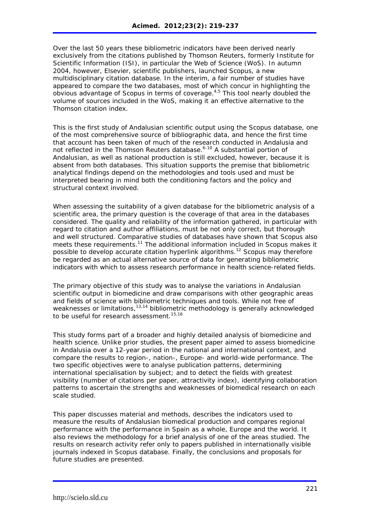Over the last 50 years these bibliometric indicators have been derived nearly exclusively from the citations published by Thomson Reuters, formerly Institute for Scientific Information (ISI), in particular the Web of Science (WoS). In autumn 2004, however, Elsevier, scientific publishers, launched Scopus, a new multidisciplinary citation database. In the interim, a fair number of studies have appeared to compare the two databases, most of which concur in highlighting the obvious advantage of Scopus in terms of coverage.4,5 This tool nearly doubled the volume of sources included in the WoS, making it an effective alternative to the Thomson citation index.

This is the first study of Andalusian scientific output using the Scopus database, one of the most comprehensive source of bibliographic data, and hence the first time that account has been taken of much of the research conducted in Andalusia and not reflected in the Thomson Reuters database.<sup>6-10</sup> A substantial portion of Andalusian, as well as national production is still excluded, however, because it is absent from both databases. This situation supports the premise that bibliometric analytical findings depend on the methodologies and tools used and must be interpreted bearing in mind both the conditioning factors and the policy and structural context involved.

When assessing the suitability of a given database for the bibliometric analysis of a scientific area, the primary question is the coverage of that area in the databases considered. The quality and reliability of the information gathered, in particular with regard to citation and author affiliations, must be not only correct, but thorough and well structured. Comparative studies of databases have shown that Scopus also meets these requirements.<sup>11</sup> The additional information included in Scopus makes it possible to develop accurate citation hyperlink algorithms.<sup>12</sup> Scopus may therefore be regarded as an actual alternative source of data for generating bibliometric indicators with which to assess research performance in health science-related fields.

The primary objective of this study was to analyse the variations in Andalusian scientific output in biomedicine and draw comparisons with other geographic areas and fields of science with bibliometric techniques and tools. While not free of weaknesses or limitations,<sup>13,14</sup> bibliometric methodology is generally acknowledged to be useful for research assessment.<sup>15,16</sup>

This study forms part of a broader and highly detailed analysis of biomedicine and health science. Unlike prior studies, the present paper aimed to assess biomedicine in Andalusia over a 12-year period in the national and international context, and compare the results to region-, nation-, Europe- and world-wide performance. The two specific objectives were to analyse publication patterns, determining international specialisation by subject; and to detect the fields with greatest visibility (number of citations per paper, attractivity index), identifying collaboration patterns to ascertain the strengths and weaknesses of biomedical research on each scale studied.

This paper discusses material and methods, describes the indicators used to measure the results of Andalusian biomedical production and compares regional performance with the performance in Spain as a whole, Europe and the world. It also reviews the methodology for a brief analysis of one of the areas studied. The results on research activity refer only to papers published in internationally visible journals indexed in Scopus database. Finally, the conclusions and proposals for future studies are presented.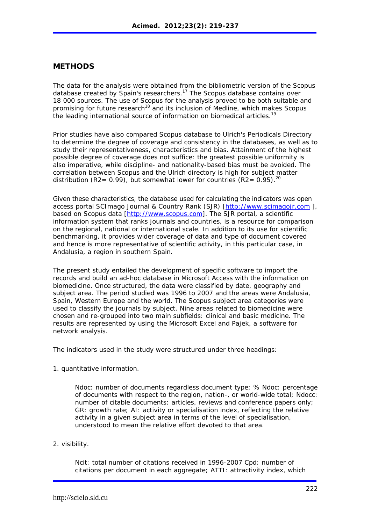### **METHODS**

The data for the analysis were obtained from the bibliometric version of the Scopus database created by Spain's researchers.<sup>17</sup> The Scopus database contains over 18 000 sources. The use of Scopus for the analysis proved to be both suitable and promising for future research<sup>18</sup> and its inclusion of Medline, which makes Scopus the leading international source of information on biomedical articles.<sup>19</sup>

Prior studies have also compared Scopus database to *Ulrich's Periodicals Directory* to determine the degree of coverage and consistency in the databases, as well as to study their representativeness, characteristics and bias. Attainment of the highest possible degree of coverage does not suffice: the greatest possible uniformity is also imperative, while discipline- and nationality-based bias must be avoided. The correlation between Scopus and the Ulrich directory is high for subject matter distribution (R2= 0.99), but somewhat lower for countries (R2= 0.95).<sup>20</sup>

Given these characteristics, the database used for calculating the indicators was open access portal SCImago Journal *&* Country Rank (SJR) [http://www.scimagojr.com ], based on Scopus data [http://www.scopus.com]. The SJR portal, a scientific information system that ranks journals and countries, is a resource for comparison on the regional, national or international scale. In addition to its use for scientific benchmarking, it provides wider coverage of data and type of document covered and hence is more representative of scientific activity, in this particular case, in Andalusia, a region in southern Spain.

The present study entailed the development of specific software to import the records and build an ad-hoc database in Microsoft Access with the information on biomedicine. Once structured, the data were classified by date, geography and subject area. The period studied was 1996 to 2007 and the areas were Andalusia, Spain, Western Europe and the world. The Scopus subject area categories were used to classify the journals by subject. Nine areas related to biomedicine were chosen and re-grouped into two main subfields: clinical and basic medicine. The results are represented by using the Microsoft Excel and Pajek, a software for network analysis.

The indicators used in the study were structured under three headings:

1. quantitative information.

Ndoc: number of documents regardless document type; % Ndoc: percentage of documents with respect to the region, nation-, or world-wide total; Ndocc: number of citable documents: articles, reviews and conference papers only; GR: growth rate; AI: activity or specialisation index, reflecting the relative activity in a given subject area in terms of the level of specialisation, understood to mean the relative effort devoted to that area.

2. visibility.

Ncit: total number of citations received in 1996-2007 Cpd: number of citations per document in each aggregate; ATTI: attractivity index, which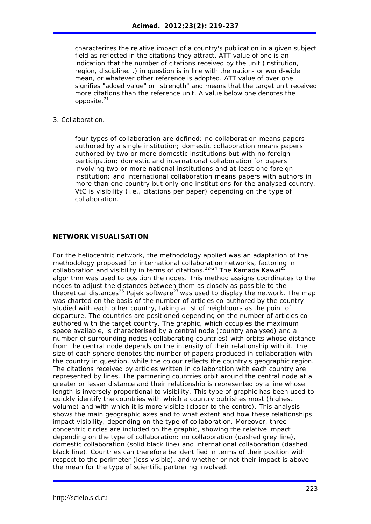characterizes the relative impact of a country's publication in a given subject field as reflected in the citations they attract. ATT value of one is an indication that the number of citations received by the unit (institution, region, discipline...) in question is in line with the nation- or world-wide mean, or whatever other reference is adopted. ATT value of over one signifies "added value" or "strength" and means that the target unit received more citations than the reference unit. A value below one denotes the opposite.<sup>21</sup>

#### 3. Collaboration.

four types of collaboration are defined: *no collaboration* means papers authored by a single institution; *domestic collaboration* means papers authored by two or more domestic institutions but with no foreign participation; *domestic and international collaboration* for papers involving two or more national institutions and at least one foreign institution; and *international collaboration* means papers with authors in more than one country but only one institutions for the analysed country. VtC is visibility (i.e., citations per paper) depending on the type of collaboration.

#### **NETWORK VISUALISATION**

For the heliocentric network, the methodology applied was an adaptation of the methodology proposed for international collaboration networks, factoring in collaboration and visibility in terms of citations.<sup>22-24</sup> The Kamada Kawai<sup>25</sup> algorithm was used to position the nodes. This method assigns coordinates to the nodes to adjust the distances between them as closely as possible to the theoretical distances<sup>26</sup> Pajek software<sup>27</sup> was used to display the network. The map was charted on the basis of the number of articles co-authored by the country studied with each other country, taking a list of neighbours as the point of departure. The countries are positioned depending on the number of articles coauthored with the target country. The graphic, which occupies the maximum space available, is characterised by a central node (country analysed) and a number of surrounding nodes (collaborating countries) with orbits whose distance from the central node depends on the intensity of their relationship with it. The size of each sphere denotes the number of papers produced in collaboration with the country in question, while the colour reflects the country's geographic region. The citations received by articles written in collaboration with each country are represented by lines. The partnering countries orbit around the central node at a greater or lesser distance and their relationship is represented by a line whose length is inversely proportional to visibility. This type of graphic has been used to quickly identify the countries with which a country publishes most (highest volume) and with which it is more visible (closer to the centre). This analysis shows the main geographic axes and to what extent and how these relationships impact visibility, depending on the type of collaboration. Moreover, three concentric circles are included on the graphic, showing the relative impact depending on the type of collaboration: no collaboration (dashed grey line), domestic collaboration (solid black line) and international collaboration (dashed black line). Countries can therefore be identified in terms of their position with respect to the perimeter (less visible), and whether or not their impact is above the mean for the type of scientific partnering involved.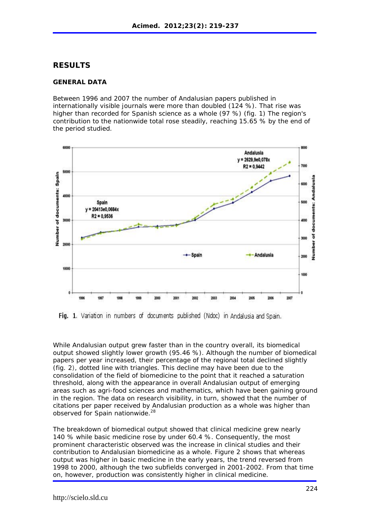### **RESULTS**

### **GENERAL DATA**

Between 1996 and 2007 the number of Andalusian papers published in internationally visible journals were more than doubled (124 %). That rise was higher than recorded for Spanish science as a whole (97 %) (fig. 1) The region's contribution to the nationwide total rose steadily, reaching 15.65 % by the end of the period studied.



Fig. 1. Variation in numbers of documents published (Ndoc) in Andalusia and Spain.

While Andalusian output grew faster than in the country overall, its biomedical output showed slightly lower growth (95.46 %). Although the number of biomedical papers per year increased, their percentage of the regional total declined slightly (fig. 2), dotted line with triangles. This decline may have been due to the consolidation of the field of biomedicine to the point that it reached a saturation threshold, along with the appearance in overall Andalusian output of emerging areas such as agri-food sciences and mathematics, which have been gaining ground in the region. The data on research visibility, in turn, showed that the number of citations per paper received by Andalusian production as a whole was higher than observed for Spain nationwide.28

The breakdown of biomedical output showed that clinical medicine grew nearly 140 % while basic medicine rose by under 60.4 %. Consequently, the most prominent characteristic observed was the increase in clinical studies and their contribution to Andalusian biomedicine as a whole. Figure 2 shows that whereas output was higher in basic medicine in the early years, the trend reversed from 1998 to 2000, although the two subfields converged in 2001-2002. From that time on, however, production was consistently higher in clinical medicine.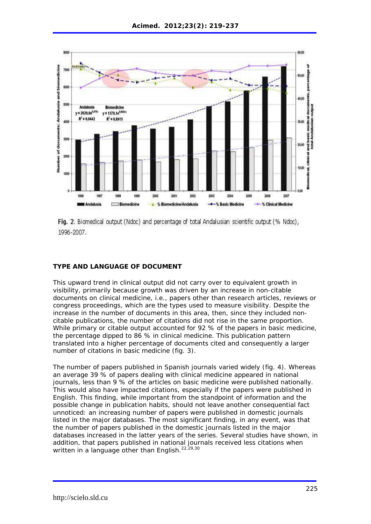

Fig. 2. Biomedical output (Ndoc) and percentage of total Andalusian scientific output (% Ndoc), 1996-2007.

### **TYPE AND LANGUAGE OF DOCUMENT**

This upward trend in clinical output did not carry over to equivalent growth in visibility, primarily because growth was driven by an increase in non-citable documents on clinical medicine, i.e., papers other than research articles, reviews or congress proceedings, which are the types used to measure visibility. Despite the increase in the number of documents in this area, then, since they included noncitable publications, the number of citations did not rise in the same proportion. While primary or citable output accounted for 92 % of the papers in basic medicine, the percentage dipped to 86 % in clinical medicine. This publication pattern translated into a higher percentage of documents cited and consequently a larger number of citations in basic medicine (fig. 3).

The number of papers published in Spanish journals varied widely (fig. 4). Whereas an average 39 % of papers dealing with clinical medicine appeared in national journals, less than 9 % of the articles on basic medicine were published nationally. This would also have impacted citations, especially if the papers were published in English. This finding, while important from the standpoint of information and the possible change in publication habits, should not leave another consequential fact unnoticed: an increasing number of papers were published in domestic journals listed in the major databases. The most significant finding, in any event, was that the number of papers published in the domestic journals listed in the major databases increased in the latter years of the series. Several studies have shown, in addition, that papers published in national journals received less citations when written in a language other than English.<sup>22,29,30</sup>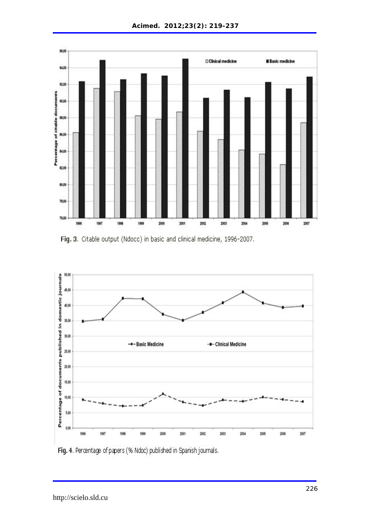

Fig. 3. Citable output (Ndocc) in basic and clinical medicine, 1996-2007.



Fig. 4. Percentage of papers (% Ndoc) published in Spanish journals.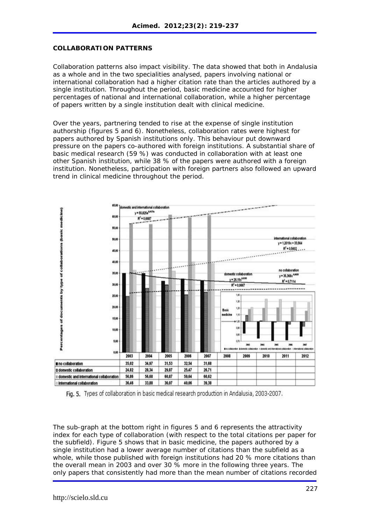### **COLLABORATION PATTERNS**

Collaboration patterns also impact visibility. The data showed that both in Andalusia as a whole and in the two specialities analysed, papers involving national or international collaboration had a higher citation rate than the articles authored by a single institution. Throughout the period, basic medicine accounted for higher percentages of national and international collaboration, while a higher percentage of papers written by a single institution dealt with clinical medicine.

Over the years, partnering tended to rise at the expense of single institution authorship (figures 5 and 6). Nonetheless, collaboration rates were highest for papers authored by Spanish institutions only. This behaviour put downward pressure on the papers co-authored with foreign institutions. A substantial share of basic medical research (59 %) was conducted in collaboration with at least one other Spanish institution, while 38 % of the papers were authored with a foreign institution. Nonetheless, participation with foreign partners also followed an upward trend in clinical medicine throughout the period.



Fig. 5. Types of collaboration in basic medical research production in Andalusia, 2003-2007.

The sub-graph at the bottom right in figures 5 and 6 represents the attractivity index for each type of collaboration (with respect to the total citations per paper for the subfield). Figure 5 shows that in basic medicine, the papers authored by a single institution had a lower average number of citations than the subfield as a whole, while those published with foreign institutions had 20 % more citations than the overall mean in 2003 and over 30 % more in the following three years. The only papers that consistently had more than the mean number of citations recorded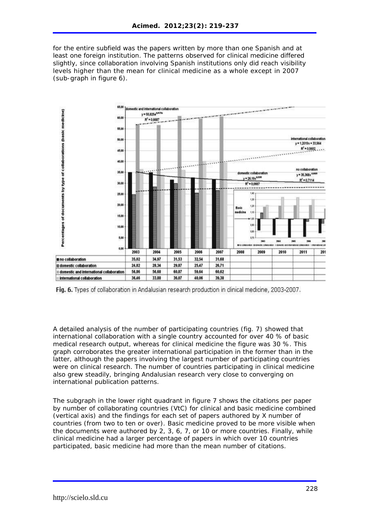for the entire subfield was the papers written by more than one Spanish and at least one foreign institution. The patterns observed for clinical medicine differed slightly, since collaboration involving Spanish institutions only did reach visibility levels higher than the mean for clinical medicine as a whole except in 2007 (sub-graph in figure 6).



Fig. 6. Types of collaboration in Andalusian research production in clinical medicine, 2003-2007.

A detailed analysis of the number of participating countries (fig. 7) showed that international collaboration with a single country accounted for over 40 % of basic medical research output, whereas for clinical medicine the figure was 30 %. This graph corroborates the greater international participation in the former than in the latter, although the papers involving the largest number of participating countries were on clinical research. The number of countries participating in clinical medicine also grew steadily, bringing Andalusian research very close to converging on international publication patterns.

The subgraph in the lower right quadrant in figure 7 shows the citations per paper by number of collaborating countries (VtC) for clinical and basic medicine combined (vertical axis) and the findings for each set of papers authored by X number of countries (from two to ten or over). Basic medicine proved to be more visible when the documents were authored by 2, 3, 6, 7, or 10 or more countries. Finally, while clinical medicine had a larger percentage of papers in which over 10 countries participated, basic medicine had more than the mean number of citations.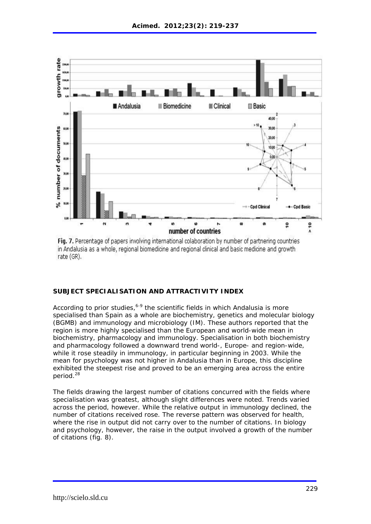

Fig. 7. Percentage of papers involving international colaboration by number of partnering countries in Andalusia as a whole, regional biomedicine and regional clinical and basic medicine and growth rate (GR).

### **SUBJECT SPECIALISATION AND ATTRACTIVITY INDEX**

According to prior studies,  $6-9$  the scientific fields in which Andalusia is more specialised than Spain as a whole are biochemistry, genetics and molecular biology (BGMB) and immunology and microbiology (IM). These authors reported that the region is more highly specialised than the European and world-wide mean in biochemistry, pharmacology and immunology. Specialisation in both biochemistry and pharmacology followed a downward trend world-, Europe- and region-wide, while it rose steadily in immunology, in particular beginning in 2003. While the mean for psychology was not higher in Andalusia than in Europe, this discipline exhibited the steepest rise and proved to be an emerging area across the entire period.<sup>28</sup>

The fields drawing the largest number of citations concurred with the fields where specialisation was greatest, although slight differences were noted. Trends varied across the period, however. While the relative output in immunology declined, the number of citations received rose. The reverse pattern was observed for health, where the rise in output did not carry over to the number of citations. In biology and psychology, however, the raise in the output involved a growth of the number of citations (fig. 8).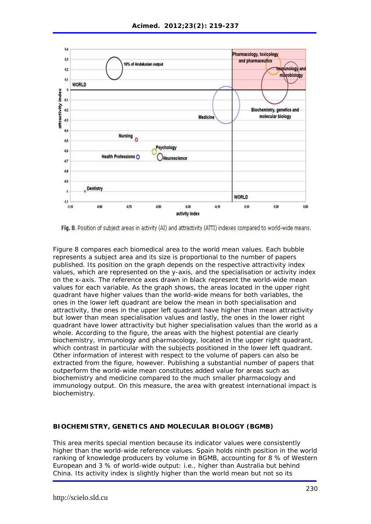

Fig. 8. Position of subject areas in activity (AI) and attractivity (ATTI) indexes compared to world-wide means.

Figure 8 compares each biomedical area to the world mean values. Each bubble represents a subject area and its size is proportional to the number of papers published. Its position on the graph depends on the respective attractivity index values, which are represented on the y-axis, and the specialisation or activity index on the x-axis. The reference axes drawn in black represent the world-wide mean values for each variable. As the graph shows, the areas located in the upper right quadrant have higher values than the world-wide means for both variables, the ones in the lower left quadrant are below the mean in both specialisation and attractivity, the ones in the upper left quadrant have higher than mean attractivity but lower than mean specialisation values and lastly, the ones in the lower right quadrant have lower attractivity but higher specialisation values than the world as a whole. According to the figure, the areas with the highest potential are clearly biochemistry, immunology and pharmacology, located in the upper right quadrant, which contrast in particular with the subjects positioned in the lower left quadrant. Other information of interest with respect to the volume of papers can also be extracted from the figure, however. Publishing a substantial number of papers that outperform the world-wide mean constitutes added value for areas such as biochemistry and medicine compared to the much smaller pharmacology and immunology output. On this measure, the area with greatest international impact is biochemistry.

### **BIOCHEMISTRY, GENETICS AND MOLECULAR BIOLOGY (BGMB)**

This area merits special mention because its indicator values were consistently higher than the world-wide reference values. Spain holds ninth position in the world ranking of knowledge producers by volume in BGMB, accounting for 8 % of Western European and 3 % of world-wide output: i.e., higher than Australia but behind China. Its activity index is slightly higher than the world mean but not so its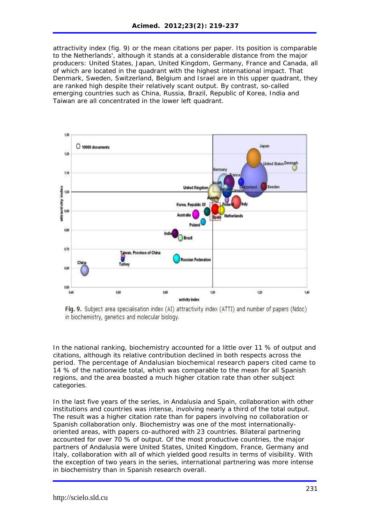attractivity index (fig. 9) or the mean citations per paper. Its position is comparable to the Netherlands', although it stands at a considerable distance from the major producers: United States, Japan, United Kingdom, Germany, France and Canada, all of which are located in the quadrant with the highest international impact. That Denmark, Sweden, Switzerland, Belgium and Israel are in this upper quadrant, they are ranked high despite their relatively scant output. By contrast, so-called emerging countries such as China, Russia, Brazil, Republic of Korea, India and Taiwan are all concentrated in the lower left quadrant.



Fig. 9. Subject area specialisation index (AI) attractivity index (ATTI) and number of papers (Ndoc) in biochemistry, genetics and molecular biology.

In the national ranking, biochemistry accounted for a little over 11 % of output and citations, although its relative contribution declined in both respects across the period. The percentage of Andalusian biochemical research papers cited came to 14 % of the nationwide total, which was comparable to the mean for all Spanish regions, and the area boasted a much higher citation rate than other subject categories.

In the last five years of the series, in Andalusia and Spain, collaboration with other institutions and countries was intense, involving nearly a third of the total output. The result was a higher citation rate than for papers involving no collaboration or Spanish collaboration only. Biochemistry was one of the most internationallyoriented areas, with papers co-authored with 23 countries. Bilateral partnering accounted for over 70 % of output. Of the most productive countries, the major partners of Andalusia were United States, United Kingdom, France, Germany and Italy, collaboration with all of which yielded good results in terms of visibility. With the exception of two years in the series, international partnering was more intense in biochemistry than in Spanish research overall.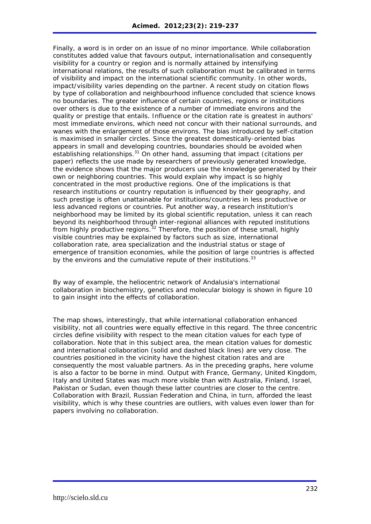Finally, a word is in order on an issue of no minor importance. While collaboration constitutes added value that favours output, internationalisation and consequently visibility for a country or region and is normally attained by intensifying international relations, the results of such collaboration must be calibrated in terms of visibility and impact on the international scientific community. In other words, impact/visibility varies depending on the partner. A recent study on citation flows by type of collaboration and neighbourhood influence concluded that science knows no boundaries. The greater influence of certain countries, regions or institutions over others is due to the existence of a number of immediate environs and the quality or prestige that entails. Influence or the citation rate is greatest in authors' most immediate environs, which need not concur with their national surrounds, and wanes with the enlargement of those environs. The bias introduced by self-citation is maximised in smaller circles. Since the greatest domestically-oriented bias appears in small and developing countries, boundaries should be avoided when establishing relationships.<sup>31</sup> On other hand, assuming that impact (citations per paper) reflects the use made by researchers of previously generated knowledge, the evidence shows that the major producers use the knowledge generated by their own or neighboring countries. This would explain why impact is so highly concentrated in the most productive regions. One of the implications is that research institutions or country reputation is influenced by their geography, and such prestige is often unattainable for institutions/countries in less productive or less advanced regions or countries. Put another way, a research institution's neighborhood may be limited by its global scientific reputation, unless it can reach beyond its neighborhood through inter-regional alliances with reputed institutions from highly productive regions.<sup>32</sup> Therefore, the position of these small, highly visible countries may be explained by factors such as size, international collaboration rate, area specialization and the industrial status or stage of emergence of transition economies, while the position of large countries is affected by the environs and the cumulative repute of their institutions.<sup>33</sup>

By way of example, the heliocentric network of Andalusia's international collaboration in biochemistry, genetics and molecular biology is shown in figure 10 to gain insight into the effects of collaboration.

The map shows, interestingly, that while international collaboration enhanced visibility, not all countries were equally effective in this regard. The three concentric circles define visibility with respect to the mean citation values for each type of collaboration. Note that in this subject area, the mean citation values for domestic and international collaboration (solid and dashed black lines) are very close. The countries positioned in the vicinity have the highest citation rates and are consequently the most valuable partners. As in the preceding graphs, here volume is also a factor to be borne in mind. Output with France, Germany, United Kingdom, Italy and United States was much more visible than with Australia, Finland, Israel, Pakistan or Sudan, even though these latter countries are closer to the centre. Collaboration with Brazil, Russian Federation and China, in turn, afforded the least visibility, which is why these countries are outliers, with values even lower than for papers involving no collaboration.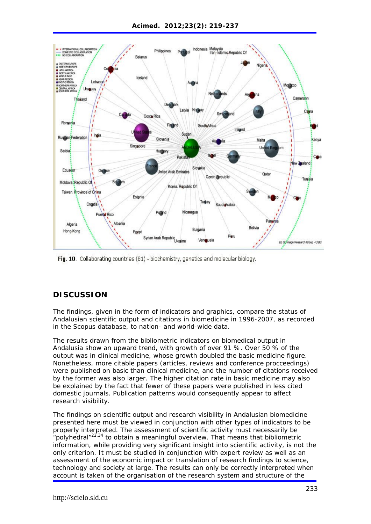

Fig. 10. Collaborating countries (81) - biochemistry, genetics and molecular biology.

# **DISCUSSION**

The findings, given in the form of indicators and graphics, compare the status of Andalusian scientific output and citations in biomedicine in 1996-2007, as recorded in the Scopus database, to nation- and world-wide data.

The results drawn from the bibliometric indicators on biomedical output in Andalusia show an upward trend, with growth of over 91 %. Over 50 % of the output was in clinical medicine, whose growth doubled the basic medicine figure. Nonetheless, more citable papers (articles, reviews and conference procceedings) were published on basic than clinical medicine, and the number of citations received by the former was also larger. The higher citation rate in basic medicine may also be explained by the fact that fewer of these papers were published in less cited domestic journals. Publication patterns would consequently appear to affect research visibility.

The findings on scientific output and research visibility in Andalusian biomedicine presented here must be viewed in conjunction with other types of indicators to be properly interpreted. The assessment of scientific activity must necessarily be "polyhedral" $2^{2,34}$  to obtain a meaningful overview. That means that bibliometric information, while providing very significant insight into scientific activity, is not the only criterion. It must be studied in conjunction with expert review as well as an assessment of the economic impact or translation of research findings to science, technology and society at large. The results can only be correctly interpreted when account is taken of the organisation of the research system and structure of the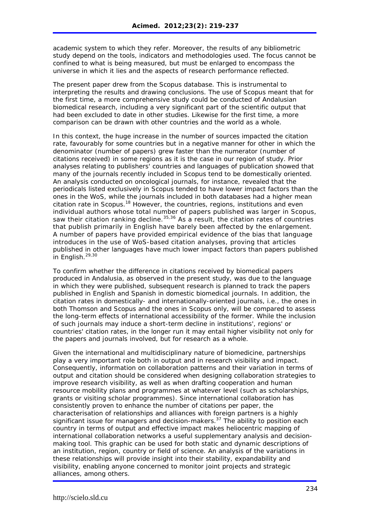academic system to which they refer. Moreover, the results of any bibliometric study depend on the tools, indicators and methodologies used. The focus cannot be confined to what is being measured, but must be enlarged to encompass the universe in which it lies and the aspects of research performance reflected.

The present paper drew from the Scopus database. This is instrumental to interpreting the results and drawing conclusions. The use of Scopus meant that for the first time, a more comprehensive study could be conducted of Andalusian biomedical research, including a very significant part of the scientific output that had been excluded to date in other studies. Likewise for the first time, a more comparison can be drawn with other countries and the world as a whole.

In this context, the huge increase in the number of sources impacted the citation rate, favourably for some countries but in a negative manner for other in which the denominator (number of papers) grew faster than the numerator (number of citations received) in some regions as it is the case in our region of study. Prior analyses relating to publishers' countries and languages of publication showed that many of the journals recently included in Scopus tend to be domestically oriented. An analysis conducted on oncological journals, for instance, revealed that the periodicals listed exclusively in Scopus tended to have lower impact factors than the ones in the WoS, while the journals included in both databases had a higher mean citation rate in Scopus.18 However, the countries, regions, institutions and even individual authors whose total number of papers published was larger in Scopus, saw their citation ranking decline.  $35,36$  As a result, the citation rates of countries that publish primarily in English have barely been affected by the enlargement. A number of papers have provided empirical evidence of the bias that language introduces in the use of WoS-based citation analyses, proving that articles published in other languages have much lower impact factors than papers published in English.<sup>29,30</sup>

To confirm whether the difference in citations received by biomedical papers produced in Andalusia, as observed in the present study, was due to the language in which they were published, subsequent research is planned to track the papers published in English and Spanish in domestic biomedical journals. In addition, the citation rates in domestically- and internationally-oriented journals, i.e., the ones in both Thomson and Scopus and the ones in Scopus only, will be compared to assess the long-term effects of international accessibility of the former. While the inclusion of such journals may induce a short-term decline in institutions', regions' or countries' citation rates, in the longer run it may entail higher visibility not only for the papers and journals involved, but for research as a whole.

Given the international and multidisciplinary nature of biomedicine, partnerships play a very important role both in output and in research visibility and impact. Consequently, information on collaboration patterns and their variation in terms of output and citation should be considered when designing collaboration strategies to improve research visibility, as well as when drafting cooperation and human resource mobility plans and programmes at whatever level (such as scholarships, grants or visiting scholar programmes). Since international collaboration has consistently proven to enhance the number of citations per paper, the characterisation of relationships and alliances with foreign partners is a highly significant issue for managers and decision-makers.<sup>37</sup> The ability to position each country in terms of output and effective impact makes heliocentric mapping of international collaboration networks a useful supplementary analysis and decisionmaking tool. This graphic can be used for both static and dynamic descriptions of an institution, region, country or field of science. An analysis of the variations in these relationships will provide insight into their stability, expandability and visibility, enabling anyone concerned to monitor joint projects and strategic alliances, among others.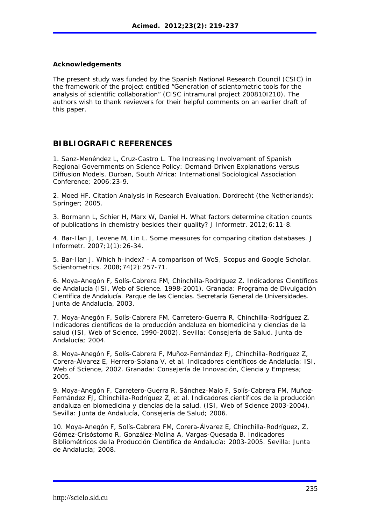### **Acknowledgements**

The present study was funded by the Spanish National Research Council (CSIC) in the framework of the project entitled "Generation of scientometric tools for the analysis of scientific collaboration" (CISC intramural project 200810I210). The authors wish to thank reviewers for their helpful comments on an earlier draft of this paper.

## **BIBLIOGRAFIC REFERENCES**

1. Sanz-Menéndez L, Cruz-Castro L. The Increasing Involvement of Spanish Regional Governments on Science Policy: Demand-Driven Explanations versus Diffusion Models. Durban, South Africa: International Sociological Association Conference; 2006:23-9.

2. Moed HF. Citation Analysis in Research Evaluation*.* Dordrecht (the Netherlands): Springer: 2005.

3. Bormann L, Schier H, Marx W, Daniel H. What factors determine citation counts of publications in chemistry besides their quality? J Informetr. 2012;6:11-8.

4. Bar-Ilan J, Levene M, Lin L. Some measures for comparing citation databases. J Informetr. 2007;1(1):26-34.

5. Bar-Ilan J. Which h-index? - A comparison of WoS, Scopus and Google Scholar. Scientometrics. 2008;74(2):257-71.

6. Moya-Anegón F, Solís-Cabrera FM, Chinchilla-Rodríguez Z. Indicadores Científicos de Andalucía (ISI, Web of Science. 1998-2001)*.* Granada: Programa de Divulgación Científica de Andalucía. Parque de las Ciencias. Secretaría General de Universidades. Junta de Andalucía, 2003.

7. Moya-Anegón F, Solís-Cabrera FM, Carretero-Guerra R, Chinchilla-Rodríguez Z. Indicadores científicos de la producción andaluza en biomedicina y ciencias de la salud (ISI, Web of Science, 1990-2002)*.* Sevilla: Consejería de Salud. Junta de Andalucía; 2004.

8. Moya-Anegón F, Solís-Cabrera F, Muñoz-Fernández FJ, Chinchilla-Rodríguez Z, Corera-Álvarez E, Herrero-Solana V, et al. Indicadores científicos de Andalucía: ISI, Web of Science, 2002. Granada: Consejería de Innovación, Ciencia y Empresa; 2005.

9. Moya-Anegón F, Carretero-Guerra R, Sánchez-Malo F, Solís-Cabrera FM, Muñoz-Fernández FJ, Chinchilla-Rodríguez Z, et al. Indicadores científicos de la producción andaluza en biomedicina y ciencias de la salud. (ISI, Web of Science 2003-2004)*.*  Sevilla: Junta de Andalucía, Consejería de Salud; 2006.

10. Moya-Anegón F, Solís-Cabrera FM, Corera-Álvarez E, Chinchilla-Rodríguez, Z, Gómez-Crisóstomo R, González-Molina A, Vargas-Quesada B. Indicadores Bibliométricos de la Producción Científica de Andalucía: 2003-2005. Sevilla: Junta de Andalucía; 2008.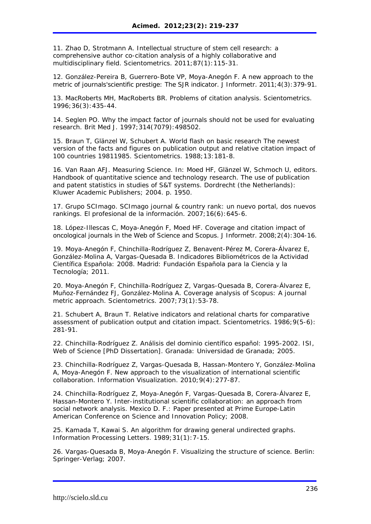11. Zhao D, Strotmann A. Intellectual structure of stem cell research: a comprehensive author co-citation analysis of a highly collaborative and multidisciplinary field. Scientometrics. 2011;87(1):115-31.

12. González-Pereira B, Guerrero-Bote VP, Moya-Anegón F. A new approach to the metric of journals'scientific prestige: The SJR indicator. J Informetr. 2011;4(3):379-91.

13. MacRoberts MH, MacRoberts BR. Problems of citation analysis. Scientometrics. 1996;36(3):435-44.

14. Seglen PO. Why the impact factor of journals should not be used for evaluating research. Brit Med J. 1997;314(7079):498502.

15. Braun T, Glänzel W, Schubert A. World flash on basic research The newest version of the facts and figures on publication output and relative citation impact of 100 countries 19811985. Scientometrics. 1988;13:181-8.

16. Van Raan AFJ. Measuring Science. In: Moed HF, Glänzel W, Schmoch U, editors. Handbook of quantitative science and technology research. The use of publication and patent statistics in studies of S&T systems. Dordrecht (the Netherlands): Kluwer Academic Publishers; 2004. p. 1950.

17. Grupo SCImago. SCImago journal & country rank: un nuevo portal, dos nuevos rankings. El profesional de la información. 2007;16(6):645-6.

18. López-Illescas C, Moya-Anegón F, Moed HF. Coverage and citation impact of oncological journals in the Web of Science and Scopus. J Informetr. 2008;2(4):304-16.

19. Moya-Anegón F, Chinchilla-Rodríguez Z, Benavent-Pérez M, Corera-Álvarez E, González-Molina A, Vargas-Quesada B. Indicadores Bibliométricos de la Actividad Científica Española: 2008*.* Madrid: Fundación Española para la Ciencia y la Tecnología; 2011.

20. Moya-Anegón F, Chinchilla-Rodríguez Z, Vargas-Quesada B, Corera-Álvarez E, Muñoz-Fernández FJ, González-Molina A. Coverage analysis of Scopus: A journal metric approach. Scientometrics. 2007;73(1):53-78.

21. Schubert A, Braun T. Relative indicators and relational charts for comparative assessment of publication output and citation impact. Scientometrics. 1986;9(5-6): 281-91.

22. Chinchilla-Rodríguez Z. Análisis del dominio científico español: 1995-2002. ISI, Web of Science [PhD Dissertation]. Granada: Universidad de Granada; 2005.

23. Chinchilla-Rodríguez Z, Vargas-Quesada B, Hassan-Montero Y, González-Molina A, Moya-Anegón F. New approach to the visualization of international scientific collaboration. Information Visualization. 2010;9(4):277-87.

24. Chinchilla-Rodríguez Z, Moya-Anegón F, Vargas-Quesada B, Corera-Álvarez E, Hassan-Montero Y. Inter-institutional scientific collaboration: an approach from social network analysis. Mexico D. F.: Paper presented at Prime Europe-Latin American Conference on Science and Innovation Policy; 2008.

25. Kamada T, Kawai S. An algorithm for drawing general undirected graphs. Information Processing Letters. 1989;31(1):7-15.

26. Vargas-Quesada B, Moya-Anegón F. Visualizing the structure of science. Berlin: Springer-Verlag; 2007.